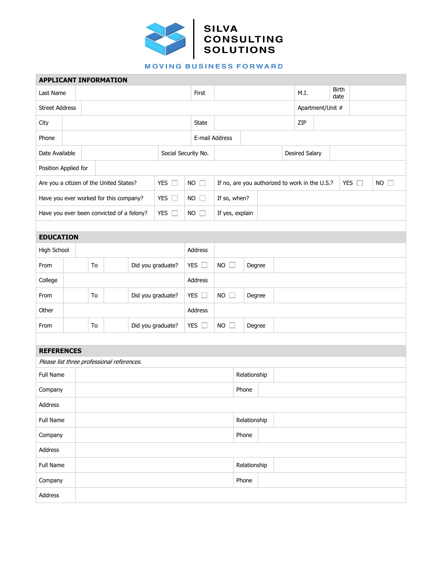

**MOVING BUSINESS FORWARD** 

| <b>APPLICANT INFORMATION</b>                               |                         |                         |  |               |         |                             |                |                                                |                 |              |                       |               |                  |  |               |             |  |  |  |
|------------------------------------------------------------|-------------------------|-------------------------|--|---------------|---------|-----------------------------|----------------|------------------------------------------------|-----------------|--------------|-----------------------|---------------|------------------|--|---------------|-------------|--|--|--|
| Last Name                                                  |                         |                         |  |               |         | First                       |                |                                                |                 | M.I.         |                       | Birth<br>date |                  |  |               |             |  |  |  |
| <b>Street Address</b>                                      |                         |                         |  |               |         |                             |                |                                                |                 |              |                       |               | Apartment/Unit # |  |               |             |  |  |  |
| City                                                       |                         |                         |  |               |         |                             |                | State                                          |                 |              |                       |               | ZIP              |  |               |             |  |  |  |
| Phone                                                      |                         |                         |  |               |         |                             | E-mail Address |                                                |                 |              |                       |               |                  |  |               |             |  |  |  |
| Date Available<br>Social Security No.                      |                         |                         |  |               |         |                             |                |                                                |                 |              | <b>Desired Salary</b> |               |                  |  |               |             |  |  |  |
| Position Applied for                                       |                         |                         |  |               |         |                             |                |                                                |                 |              |                       |               |                  |  |               |             |  |  |  |
| YES $\square$<br>Are you a citizen of the United States?   |                         |                         |  |               |         |                             | $NO$ $\Box$    | If no, are you authorized to work in the U.S.? |                 |              |                       |               |                  |  | YES $\square$ | $NO$ $\Box$ |  |  |  |
| YES $\square$<br>Have you ever worked for this company?    |                         |                         |  |               |         |                             | $NO \square$   | If so, when?                                   |                 |              |                       |               |                  |  |               |             |  |  |  |
| Have you ever been convicted of a felony?<br>YES $\square$ |                         |                         |  |               |         |                             |                | $NO$ $\Box$                                    | If yes, explain |              |                       |               |                  |  |               |             |  |  |  |
|                                                            |                         |                         |  |               |         |                             |                |                                                |                 |              |                       |               |                  |  |               |             |  |  |  |
| <b>EDUCATION</b>                                           |                         |                         |  |               |         |                             |                |                                                |                 |              |                       |               |                  |  |               |             |  |  |  |
| High School                                                |                         |                         |  |               | Address |                             |                |                                                |                 |              |                       |               |                  |  |               |             |  |  |  |
| From                                                       | Did you graduate?<br>To |                         |  | YES $\square$ |         | $NO$ $\Box$                 | Degree         |                                                |                 |              |                       |               |                  |  |               |             |  |  |  |
| College                                                    |                         |                         |  |               |         |                             | Address        |                                                |                 |              |                       |               |                  |  |               |             |  |  |  |
| From                                                       |                         | Did you graduate?<br>To |  | YES $\square$ |         | <b>NO</b><br>$\mathbb{R}^n$ | Degree         |                                                |                 |              |                       |               |                  |  |               |             |  |  |  |
| Other                                                      |                         |                         |  |               |         | Address                     |                |                                                |                 |              |                       |               |                  |  |               |             |  |  |  |
| From                                                       |                         | Did you graduate?<br>To |  |               |         |                             | YES $\square$  | <b>NO</b><br>$\Box$<br>Degree                  |                 |              |                       |               |                  |  |               |             |  |  |  |
|                                                            |                         |                         |  |               |         |                             |                |                                                |                 |              |                       |               |                  |  |               |             |  |  |  |
| <b>REFERENCES</b>                                          |                         |                         |  |               |         |                             |                |                                                |                 |              |                       |               |                  |  |               |             |  |  |  |
| Please list three professional references.                 |                         |                         |  |               |         |                             |                |                                                |                 |              |                       |               |                  |  |               |             |  |  |  |
| <b>Full Name</b>                                           |                         |                         |  |               |         |                             |                | Relationship                                   |                 |              |                       |               |                  |  |               |             |  |  |  |
| Company                                                    |                         |                         |  |               |         |                             |                | Phone                                          |                 |              |                       |               |                  |  |               |             |  |  |  |
| Address                                                    |                         |                         |  |               |         |                             |                |                                                |                 |              |                       |               |                  |  |               |             |  |  |  |
| Full Name                                                  |                         |                         |  |               |         |                             | Relationship   |                                                |                 |              |                       |               |                  |  |               |             |  |  |  |
| Company                                                    |                         |                         |  |               |         |                             |                | Phone                                          |                 |              |                       |               |                  |  |               |             |  |  |  |
| Address                                                    |                         |                         |  |               |         |                             |                |                                                |                 |              |                       |               |                  |  |               |             |  |  |  |
| Full Name                                                  |                         |                         |  |               |         |                             |                |                                                |                 | Relationship |                       |               |                  |  |               |             |  |  |  |
| Company                                                    |                         |                         |  |               |         |                             |                | Phone                                          |                 |              |                       |               |                  |  |               |             |  |  |  |
| Address                                                    |                         |                         |  |               |         |                             |                |                                                |                 |              |                       |               |                  |  |               |             |  |  |  |